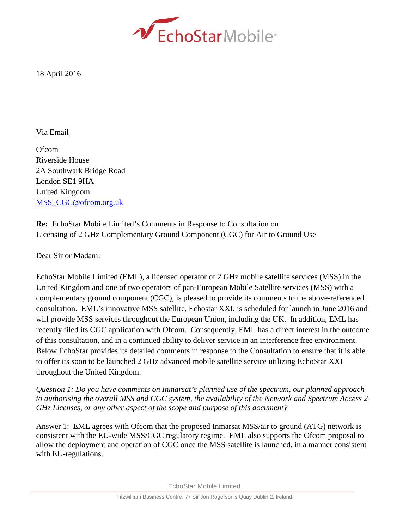

18 April 2016

## Via Email

**Ofcom** Riverside House 2A Southwark Bridge Road London SE1 9HA United Kingdom [MSS\\_CGC@ofcom.org.uk](mailto:MSS_CGC@ofcom.org.uk)

**Re:** EchoStar Mobile Limited's Comments in Response to Consultation on Licensing of 2 GHz Complementary Ground Component (CGC) for Air to Ground Use

Dear Sir or Madam:

EchoStar Mobile Limited (EML), a licensed operator of 2 GHz mobile satellite services (MSS) in the United Kingdom and one of two operators of pan-European Mobile Satellite services (MSS) with a complementary ground component (CGC), is pleased to provide its comments to the above-referenced consultation. EML's innovative MSS satellite, Echostar XXI, is scheduled for launch in June 2016 and will provide MSS services throughout the European Union, including the UK. In addition, EML has recently filed its CGC application with Ofcom. Consequently, EML has a direct interest in the outcome of this consultation, and in a continued ability to deliver service in an interference free environment. Below EchoStar provides its detailed comments in response to the Consultation to ensure that it is able to offer its soon to be launched 2 GHz advanced mobile satellite service utilizing EchoStar XXI throughout the United Kingdom.

*Question 1: Do you have comments on Inmarsat's planned use of the spectrum, our planned approach to authorising the overall MSS and CGC system, the availability of the Network and Spectrum Access 2 GHz Licenses, or any other aspect of the scope and purpose of this document?* 

Answer 1: EML agrees with Ofcom that the proposed Inmarsat MSS/air to ground (ATG) network is consistent with the EU-wide MSS/CGC regulatory regime. EML also supports the Ofcom proposal to allow the deployment and operation of CGC once the MSS satellite is launched, in a manner consistent with EU-regulations.

EchoStar Mobile Limited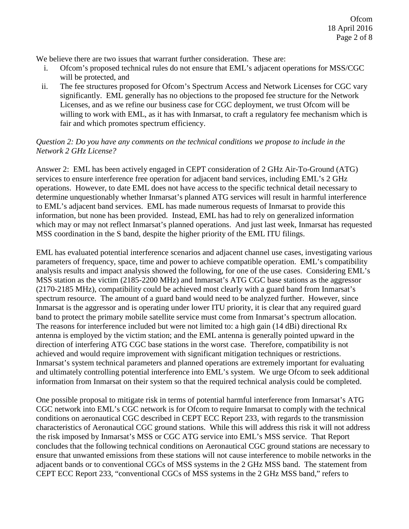We believe there are two issues that warrant further consideration. These are:

- i. Ofcom's proposed technical rules do not ensure that EML's adjacent operations for MSS/CGC will be protected, and
- ii. The fee structures proposed for Ofcom's Spectrum Access and Network Licenses for CGC vary significantly. EML generally has no objections to the proposed fee structure for the Network Licenses, and as we refine our business case for CGC deployment, we trust Ofcom will be willing to work with EML, as it has with Inmarsat, to craft a regulatory fee mechanism which is fair and which promotes spectrum efficiency.

## *Question 2: Do you have any comments on the technical conditions we propose to include in the Network 2 GHz License?*

Answer 2: EML has been actively engaged in CEPT consideration of 2 GHz Air-To-Ground (ATG) services to ensure interference free operation for adjacent band services, including EML's 2 GHz operations. However, to date EML does not have access to the specific technical detail necessary to determine unquestionably whether Inmarsat's planned ATG services will result in harmful interference to EML's adjacent band services. EML has made numerous requests of Inmarsat to provide this information, but none has been provided. Instead, EML has had to rely on generalized information which may or may not reflect Inmarsat's planned operations. And just last week, Inmarsat has requested MSS coordination in the S band, despite the higher priority of the EML ITU filings.

EML has evaluated potential interference scenarios and adjacent channel use cases, investigating various parameters of frequency, space, time and power to achieve compatible operation. EML's compatibility analysis results and impact analysis showed the following, for one of the use cases. Considering EML's MSS station as the victim (2185-2200 MHz) and Inmarsat's ATG CGC base stations as the aggressor (2170-2185 MHz), compatibility could be achieved most clearly with a guard band from Inmarsat's spectrum resource. The amount of a guard band would need to be analyzed further. However, since Inmarsat is the aggressor and is operating under lower ITU priority, it is clear that any required guard band to protect the primary mobile satellite service must come from Inmarsat's spectrum allocation. The reasons for interference included but were not limited to: a high gain (14 dBi) directional Rx antenna is employed by the victim station; and the EML antenna is generally pointed upward in the direction of interfering ATG CGC base stations in the worst case. Therefore, compatibility is not achieved and would require improvement with significant mitigation techniques or restrictions. Inmarsat's system technical parameters and planned operations are extremely important for evaluating and ultimately controlling potential interference into EML's system. We urge Ofcom to seek additional information from Inmarsat on their system so that the required technical analysis could be completed.

One possible proposal to mitigate risk in terms of potential harmful interference from Inmarsat's ATG CGC network into EML's CGC network is for Ofcom to require Inmarsat to comply with the technical conditions on aeronautical CGC described in CEPT ECC Report 233, with regards to the transmission characteristics of Aeronautical CGC ground stations. While this will address this risk it will not address the risk imposed by Inmarsat's MSS or CGC ATG service into EML's MSS service. That Report concludes that the following technical conditions on Aeronautical CGC ground stations are necessary to ensure that unwanted emissions from these stations will not cause interference to mobile networks in the adjacent bands or to conventional CGCs of MSS systems in the 2 GHz MSS band. The statement from CEPT ECC Report 233, "conventional CGCs of MSS systems in the 2 GHz MSS band," refers to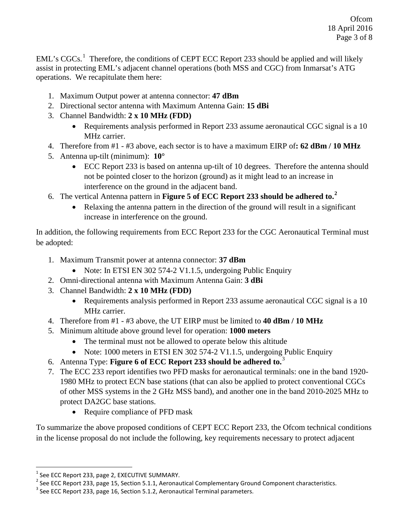EML's CGCs.<sup>[1](#page-2-0)</sup> Therefore, the conditions of CEPT ECC Report 233 should be applied and will likely assist in protecting EML's adjacent channel operations (both MSS and CGC) from Inmarsat's ATG operations. We recapitulate them here:

- 1. Maximum Output power at antenna connector: **47 dBm**
- 2. Directional sector antenna with Maximum Antenna Gain: **15 dBi**
- 3. Channel Bandwidth: **2 x 10 MHz (FDD)**
	- Requirements analysis performed in Report 233 assume aeronautical CGC signal is a 10 MHz carrier.
- 4. Therefore from #1 #3 above, each sector is to have a maximum EIRP of**: 62 dBm / 10 MHz**
- 5. Antenna up-tilt (minimum): **10°**
	- ECC Report 233 is based on antenna up-tilt of 10 degrees. Therefore the antenna should not be pointed closer to the horizon (ground) as it might lead to an increase in interference on the ground in the adjacent band.
- 6. The vertical Antenna pattern in **Figure 5 of ECC Report 233 should be adhered to.[2](#page-2-1)**
	- Relaxing the antenna pattern in the direction of the ground will result in a significant increase in interference on the ground.

In addition, the following requirements from ECC Report 233 for the CGC Aeronautical Terminal must be adopted:

- 1. Maximum Transmit power at antenna connector: **37 dBm**
	- Note: In ETSI EN 302 574-2 V1.1.5, undergoing Public Enquiry
- 2. Omni-directional antenna with Maximum Antenna Gain: **3 dBi**
- 3. Channel Bandwidth: **2 x 10 MHz (FDD)**
	- Requirements analysis performed in Report 233 assume aeronautical CGC signal is a 10 MHz carrier.
- 4. Therefore from #1 #3 above, the UT EIRP must be limited to **40 dBm / 10 MHz**
- 5. Minimum altitude above ground level for operation: **1000 meters**
	- The terminal must not be allowed to operate below this altitude
	- Note: 1000 meters in ETSI EN 302 574-2 V1.1.5, undergoing Public Enquiry
- 6. Antenna Type: **Figure 6 of ECC Report 233 should be adhered to.**[3](#page-2-2)
- 7. The ECC 233 report identifies two PFD masks for aeronautical terminals: one in the band 1920- 1980 MHz to protect ECN base stations (that can also be applied to protect conventional CGCs of other MSS systems in the 2 GHz MSS band), and another one in the band 2010-2025 MHz to protect DA2GC base stations.
	- Require compliance of PFD mask

To summarize the above proposed conditions of CEPT ECC Report 233, the Ofcom technical conditions in the license proposal do not include the following, key requirements necessary to protect adjacent

 $\overline{\phantom{a}}$ 

<span id="page-2-1"></span><span id="page-2-0"></span><sup>&</sup>lt;sup>1</sup> See ECC Report 233, page 2, EXECUTIVE SUMMARY.<br><sup>2</sup> See ECC Report 233, page 15, Section 5.1.1, Aeronautical Complementary Ground Component characteristics.<br><sup>3</sup> See ECC Report 233, page 16, Section 5.1.2, Aeronautical

<span id="page-2-2"></span>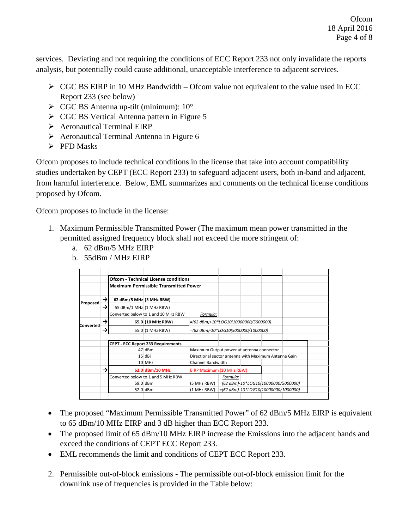services. Deviating and not requiring the conditions of ECC Report 233 not only invalidate the reports analysis, but potentially could cause additional, unacceptable interference to adjacent services.

- $\triangleright$  CGC BS EIRP in 10 MHz Bandwidth Ofcom value not equivalent to the value used in ECC Report 233 (see below)
- $\triangleright$  CGC BS Antenna up-tilt (minimum): 10°
- $\triangleright$  CGC BS Vertical Antenna pattern in Figure 5
- Aeronautical Terminal EIRP
- $\triangleright$  Aeronautical Terminal Antenna in Figure 6
- $\triangleright$  PFD Masks

Ofcom proposes to include technical conditions in the license that take into account compatibility studies undertaken by CEPT (ECC Report 233) to safeguard adjacent users, both in-band and adjacent, from harmful interference. Below, EML summarizes and comments on the technical license conditions proposed by Ofcom.

Ofcom proposes to include in the license:

- 1. Maximum Permissible Transmitted Power (The maximum mean power transmitted in the permitted assigned frequency block shall not exceed the more stringent of:
	- a. 62 dBm/5 MHz EIRP
	- b. 55dBm / MHz EIRP

|           |               |                                           | <b>Ofcom - Technical License conditions</b>  |                                           |                                                |                                                      |                                            |  |
|-----------|---------------|-------------------------------------------|----------------------------------------------|-------------------------------------------|------------------------------------------------|------------------------------------------------------|--------------------------------------------|--|
|           |               |                                           | <b>Maximum Permissible Transmitted Power</b> |                                           |                                                |                                                      |                                            |  |
|           | →             | 62 dBm/5 MHz (5 MHz RBW)                  |                                              |                                           |                                                |                                                      |                                            |  |
| Proposed  | $\rightarrow$ | 55 dBm/1 MHz (1 MHz RBW)                  |                                              |                                           |                                                |                                                      |                                            |  |
|           |               | Converted below to 1 and 10 MHz RBW       |                                              | Formula:                                  |                                                |                                                      |                                            |  |
| Converted | $\rightarrow$ |                                           | 65.0 (10 MHz RBW)                            | =(62 dBm)+10*LOG10(10000000/5000000)      |                                                |                                                      |                                            |  |
|           | →             |                                           | 55.0 (1 MHz RBW)                             | =(62 dBm)-10*LOG10(5000000/1000000)       |                                                |                                                      |                                            |  |
|           |               |                                           |                                              |                                           |                                                |                                                      |                                            |  |
|           |               | <b>CEPT - ECC Report 233 Requirements</b> |                                              |                                           |                                                |                                                      |                                            |  |
|           |               |                                           | 47 dBm                                       | Maximum Output power at antenna connector |                                                |                                                      |                                            |  |
|           |               |                                           | 15 dBi                                       |                                           |                                                | Directional sector antenna with Maximum Antenna Gain |                                            |  |
|           |               |                                           | 10 MHz                                       | Channel Bandwidth                         |                                                |                                                      |                                            |  |
|           | →             |                                           | 62.0 dBm/10 MHz                              | EIRP Maximum (10 MHz RBW)                 |                                                |                                                      |                                            |  |
|           |               | Converted below to 1 and 5 MHz RBW        |                                              |                                           | Formula:                                       |                                                      |                                            |  |
|           |               |                                           | 59.0 dBm                                     | (5 MHz RBW)                               | $= (62$ dBm $) - 10 *$ LOG10(10000000/5000000) |                                                      |                                            |  |
|           |               |                                           | 52.0 dBm                                     | (1 MHz RBW)                               |                                                |                                                      | $=(62$ dBm $)-10*$ LOG10(10000000/1000000) |  |

- The proposed "Maximum Permissible Transmitted Power" of 62 dBm/5 MHz EIRP is equivalent to 65 dBm/10 MHz EIRP and 3 dB higher than ECC Report 233.
- The proposed limit of 65 dBm/10 MHz EIRP increase the Emissions into the adjacent bands and exceed the conditions of CEPT ECC Report 233.
- EML recommends the limit and conditions of CEPT ECC Report 233.
- 2. Permissible out-of-block emissions The permissible out-of-block emission limit for the downlink use of frequencies is provided in the Table below: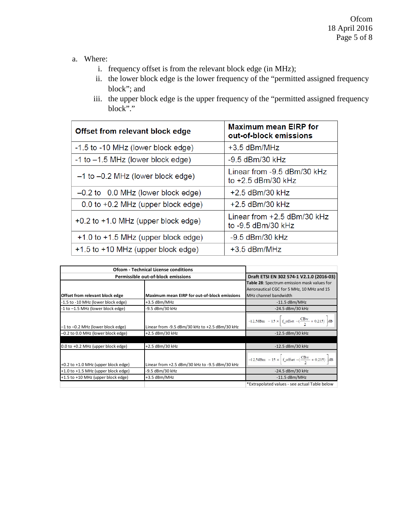- a. Where:
	- i. frequency offset is from the relevant block edge (in MHz);
	- ii. the lower block edge is the lower frequency of the "permitted assigned frequency block"; and
	- iii. the upper block edge is the upper frequency of the "permitted assigned frequency block"."

| Offset from relevant block edge         | <b>Maximum mean EIRP for</b><br>out-of-block emissions |  |  |
|-----------------------------------------|--------------------------------------------------------|--|--|
| -1.5 to -10 MHz (lower block edge)      | $+3.5$ dBm/MHz                                         |  |  |
| -1 to -1.5 MHz (lower block edge)       | $-9.5$ dBm/30 kHz                                      |  |  |
| $-1$ to $-0.2$ MHz (lower block edge)   | Linear from -9.5 dBm/30 kHz<br>to $+2.5$ dBm/30 kHz    |  |  |
| $-0.2$ to 0.0 MHz (lower block edge)    | $+2.5$ dBm/30 kHz                                      |  |  |
| $0.0$ to $+0.2$ MHz (upper block edge)  | $+2.5$ dBm/30 kHz                                      |  |  |
| +0.2 to +1.0 MHz (upper block edge)     | Linear from $+2.5$ dBm/30 kHz<br>to -9.5 dBm/30 kHz    |  |  |
| $+1.0$ to $+1.5$ MHz (upper block edge) | $-9.5$ dBm/30 kHz                                      |  |  |
| +1.5 to +10 MHz (upper block edge)      | $+3.5$ dBm/MHz                                         |  |  |

| <b>Ofcom - Technical License conditions</b> |                                                     |                                                                                                                               |
|---------------------------------------------|-----------------------------------------------------|-------------------------------------------------------------------------------------------------------------------------------|
| Permissible out-of-block emissions          | Draft ETSI EN 302 574-1 V2.1.0 (2016-03)            |                                                                                                                               |
|                                             |                                                     | Table 28: Spectrum emission mask values for                                                                                   |
|                                             |                                                     | Aeronautical CGC for 5 MHz, 10 MHz and 15                                                                                     |
| Offset from relevant block edge             | <b>Maximum mean EIRP for out-of-block emissions</b> | MHz channel bandwidth                                                                                                         |
| -1.5 to -10 MHz (lower block edge)          | $+3.5$ dBm/MHz                                      | $-11.5$ dBm/MHz                                                                                                               |
| -1 to -1.5 MHz (lower block edge)           | -9.5 dBm/30 kHz                                     | $-24.5$ dBm/30 kHz                                                                                                            |
| -1 to -0.2 MHz (lower block edge)           | Linear from -9.5 dBm/30 kHz to +2.5 dBm/30 kHz      | $-12,5$ dBm $-15 \times \left[ \int_{c}^{2} f_{\perp} \text{offset} - \left( \frac{\text{CBw}}{2} + 0.215 \right) \right]$ dB |
| -0.2 to 0.0 MHz (lower block edge)          | +2.5 dBm/30 kHz                                     | -12.5 dBm/30 kHz                                                                                                              |
|                                             |                                                     |                                                                                                                               |
| $0.0$ to $+0.2$ MHz (upper block edge)      | +2.5 dBm/30 kHz                                     | -12.5 dBm/30 kHz                                                                                                              |
| +0.2 to +1.0 MHz (upper block edge)         | Linear from +2.5 dBm/30 kHz to -9.5 dBm/30 kHz      | $-12,5$ dBm $-15 \times \left[ \int_{0}^{2\pi} f_0 \right]$ offset $-\left( \frac{CBw}{2} + 0.215 \right)$ dB                 |
| +1.0 to +1.5 MHz (upper block edge)         | -9.5 dBm/30 kHz                                     | -24.5 dBm/30 kHz                                                                                                              |
| +1.5 to +10 MHz (upper block edge)          | +3.5 dBm/MHz                                        | $-11.5$ dBm/MHz                                                                                                               |
|                                             |                                                     | *Extrapolated values - see actual Table below                                                                                 |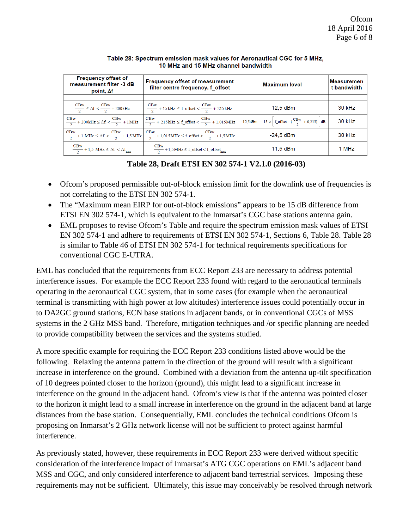| <b>Frequency offset of</b><br>measurement filter -3 dB<br>point, $\Delta f$  | <b>Frequency offset of measurement</b><br>filter centre frequency, f offset                                                                                                                                         | <b>Maximum level</b>                                                                                       | Measuremen<br>t bandwidth |
|------------------------------------------------------------------------------|---------------------------------------------------------------------------------------------------------------------------------------------------------------------------------------------------------------------|------------------------------------------------------------------------------------------------------------|---------------------------|
|                                                                              |                                                                                                                                                                                                                     |                                                                                                            |                           |
| $\frac{\text{CBw}}{2} \leq \Delta f < \frac{\text{CBw}}{2} + 200 \text{kHz}$ | $\frac{\text{CBw}}{2} + 15 \text{ kHz} \leq \text{f\_offset} < \frac{\text{CBw}}{2} + 215 \text{ kHz}$                                                                                                              | $-12.5$ dBm                                                                                                | 30 kHz                    |
|                                                                              | $\frac{\text{CBw}}{2} + 200 \text{kHz} \leq \Delta f < \frac{\text{CBw}}{2} + 1 \text{MHz}$ $\left  \frac{\text{CBw}}{2} + 215 \text{kHz} \leq f_{\text{offset}} < \frac{\text{CBw}}{2} + 1,015 \text{MHz} \right $ | $-12,5$ dBm $-15 \times \left  f_{\text{offset}} - \left( \frac{\text{CBw}}{2} + 0.215 \right) \right $ dB | 30 kHz                    |
|                                                                              | $\frac{CBw}{2} + 1 \text{ MHz} \leq \Delta f < \frac{CBw}{2} + 1,5 \text{ MHz}$ $\frac{CBw}{2} + 1,015 \text{ MHz} \leq f_{\text{offset}} < \frac{CBw}{2} + 1,5 \text{ MHz}$                                        | $-24.5$ dBm                                                                                                | 30 kHz                    |
| $\frac{\text{CBw}}{2}$ + 1,5 MHz $\leq \Delta f < \Delta f_{\text{max}}$     | $\frac{\text{CBw}}{2} + 1,5 \text{ MHz} \leq f_{\text{offset}} < f_{\text{offset}}$                                                                                                                                 | $-11.5$ dBm                                                                                                | 1 MHz                     |

Table 28: Spectrum emission mask values for Aeronautical CGC for 5 MHz, 10 MHz and 15 MHz channel bandwidth

## **Table 28, Draft ETSI EN 302 574-1 V2.1.0 (2016-03)**

- Ofcom's proposed permissible out-of-block emission limit for the downlink use of frequencies is not correlating to the ETSI EN 302 574-1.
- The "Maximum mean EIRP for out-of-block emissions" appears to be 15 dB difference from ETSI EN 302 574-1, which is equivalent to the Inmarsat's CGC base stations antenna gain.
- EML proposes to revise Ofcom's Table and require the spectrum emission mask values of ETSI EN 302 574-1 and adhere to requirements of ETSI EN 302 574-1, Sections 6, Table 28. Table 28 is similar to Table 46 of ETSI EN 302 574-1 for technical requirements specifications for conventional CGC E-UTRA.

EML has concluded that the requirements from ECC Report 233 are necessary to address potential interference issues. For example the ECC Report 233 found with regard to the aeronautical terminals operating in the aeronautical CGC system, that in some cases (for example when the aeronautical terminal is transmitting with high power at low altitudes) interference issues could potentially occur in to DA2GC ground stations, ECN base stations in adjacent bands, or in conventional CGCs of MSS systems in the 2 GHz MSS band. Therefore, mitigation techniques and /or specific planning are needed to provide compatibility between the services and the systems studied.

A more specific example for requiring the ECC Report 233 conditions listed above would be the following. Relaxing the antenna pattern in the direction of the ground will result with a significant increase in interference on the ground. Combined with a deviation from the antenna up-tilt specification of 10 degrees pointed closer to the horizon (ground), this might lead to a significant increase in interference on the ground in the adjacent band. Ofcom's view is that if the antenna was pointed closer to the horizon it might lead to a small increase in interference on the ground in the adjacent band at large distances from the base station. Consequentially, EML concludes the technical conditions Ofcom is proposing on Inmarsat's 2 GHz network license will not be sufficient to protect against harmful interference.

As previously stated, however, these requirements in ECC Report 233 were derived without specific consideration of the interference impact of Inmarsat's ATG CGC operations on EML's adjacent band MSS and CGC, and only considered interference to adjacent band terrestrial services. Imposing these requirements may not be sufficient. Ultimately, this issue may conceivably be resolved through network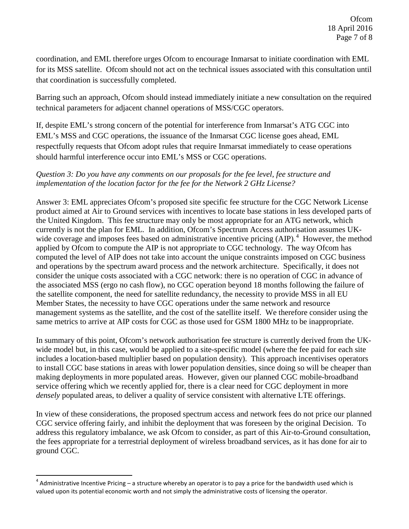coordination, and EML therefore urges Ofcom to encourage Inmarsat to initiate coordination with EML for its MSS satellite. Ofcom should not act on the technical issues associated with this consultation until that coordination is successfully completed.

Barring such an approach, Ofcom should instead immediately initiate a new consultation on the required technical parameters for adjacent channel operations of MSS/CGC operators.

If, despite EML's strong concern of the potential for interference from Inmarsat's ATG CGC into EML's MSS and CGC operations, the issuance of the Inmarsat CGC license goes ahead, EML respectfully requests that Ofcom adopt rules that require Inmarsat immediately to cease operations should harmful interference occur into EML's MSS or CGC operations.

## *Question 3: Do you have any comments on our proposals for the fee level, fee structure and implementation of the location factor for the fee for the Network 2 GHz License?*

Answer 3: EML appreciates Ofcom's proposed site specific fee structure for the CGC Network License product aimed at Air to Ground services with incentives to locate base stations in less developed parts of the United Kingdom. This fee structure may only be most appropriate for an ATG network, which currently is not the plan for EML. In addition, Ofcom's Spectrum Access authorisation assumes UK-wide coverage and imposes fees based on administrative incentive pricing (AIP).<sup>[4](#page-6-0)</sup> However, the method applied by Ofcom to compute the AIP is not appropriate to CGC technology. The way Ofcom has computed the level of AIP does not take into account the unique constraints imposed on CGC business and operations by the spectrum award process and the network architecture. Specifically, it does not consider the unique costs associated with a CGC network: there is no operation of CGC in advance of the associated MSS (ergo no cash flow), no CGC operation beyond 18 months following the failure of the satellite component, the need for satellite redundancy, the necessity to provide MSS in all EU Member States, the necessity to have CGC operations under the same network and resource management systems as the satellite, and the cost of the satellite itself. We therefore consider using the same metrics to arrive at AIP costs for CGC as those used for GSM 1800 MHz to be inappropriate.

In summary of this point, Ofcom's network authorisation fee structure is currently derived from the UKwide model but, in this case, would be applied to a site-specific model (where the fee paid for each site includes a location-based multiplier based on population density). This approach incentivises operators to install CGC base stations in areas with lower population densities, since doing so will be cheaper than making deployments in more populated areas. However, given our planned CGC mobile-broadband service offering which we recently applied for, there is a clear need for CGC deployment in more *densely* populated areas, to deliver a quality of service consistent with alternative LTE offerings.

In view of these considerations, the proposed spectrum access and network fees do not price our planned CGC service offering fairly, and inhibit the deployment that was foreseen by the original Decision. To address this regulatory imbalance, we ask Ofcom to consider, as part of this Air-to-Ground consultation, the fees appropriate for a terrestrial deployment of wireless broadband services, as it has done for air to ground CGC.

l

<span id="page-6-0"></span> $^4$  Administrative Incentive Pricing – a structure whereby an operator is to pay a price for the bandwidth used which is valued upon its potential economic worth and not simply the administrative costs of licensing the operator.